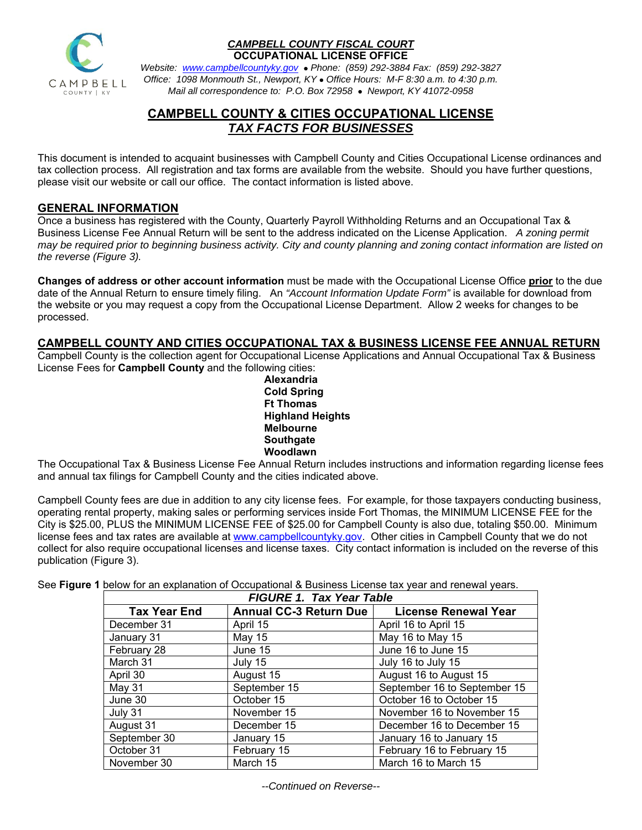

#### *CAMPBELL COUNTY FISCAL COURT*  **OCCUPATIONAL LICENSE OFFICE**

*Website:**www.campbellcountyky.gov* *Phone: (859) 292-3884 Fax: (859) 292-3827 Office: 1098 Monmouth St., Newport, KY Office Hours: M-F 8:30 a.m. to 4:30 p.m. Mail all correspondence to: P.O. Box 72958 Newport, KY 41072-0958*

# **CAMPBELL COUNTY & CITIES OCCUPATIONAL LICENSE**  *TAX FACTS FOR BUSINESSES*

This document is intended to acquaint businesses with Campbell County and Cities Occupational License ordinances and tax collection process. All registration and tax forms are available from the website. Should you have further questions, please visit our website or call our office. The contact information is listed above.

## **GENERAL INFORMATION**

Once a business has registered with the County, Quarterly Payroll Withholding Returns and an Occupational Tax & Business License Fee Annual Return will be sent to the address indicated on the License Application. *A zoning permit may be required prior to beginning business activity. City and county planning and zoning contact information are listed on the reverse (Figure 3).* 

**Changes of address or other account information** must be made with the Occupational License Office **prior** to the due date of the Annual Return to ensure timely filing. An *"Account Information Update Form"* is available for download from the website or you may request a copy from the Occupational License Department. Allow 2 weeks for changes to be processed.

## **CAMPBELL COUNTY AND CITIES OCCUPATIONAL TAX & BUSINESS LICENSE FEE ANNUAL RETURN**

Campbell County is the collection agent for Occupational License Applications and Annual Occupational Tax & Business License Fees for **Campbell County** and the following cities:

> **Alexandria Cold Spring Ft Thomas Highland Heights Melbourne Southgate Woodlawn**

The Occupational Tax & Business License Fee Annual Return includes instructions and information regarding license fees and annual tax filings for Campbell County and the cities indicated above.

Campbell County fees are due in addition to any city license fees. For example, for those taxpayers conducting business, operating rental property, making sales or performing services inside Fort Thomas, the MINIMUM LICENSE FEE for the City is \$25.00, PLUS the MINIMUM LICENSE FEE of \$25.00 for Campbell County is also due, totaling \$50.00. Minimum license fees and tax rates are available at www.campbellcountyky.gov. Other cities in Campbell County that we do not collect for also require occupational licenses and license taxes. City contact information is included on the reverse of this publication (Figure 3).

See **Figure 1** below for an explanation of Occupational & Business License tax year and renewal years.

| <b>FIGURE 1. Tax Year Table</b> |                                  |                              |  |  |
|---------------------------------|----------------------------------|------------------------------|--|--|
| <b>Tax Year End</b>             | <b>Annual CC-3 Return Due</b>    | <b>License Renewal Year</b>  |  |  |
| December 31                     | April 15                         | April 16 to April 15         |  |  |
| January 31                      | May 15                           | May 16 to May 15             |  |  |
| February 28                     | June 15                          | June 16 to June 15           |  |  |
| March 31                        | July 15                          | July 16 to July 15           |  |  |
| April 30                        | August 15                        | August 16 to August 15       |  |  |
| May 31                          | September 15                     | September 16 to September 15 |  |  |
| June 30                         | October 15                       | October 16 to October 15     |  |  |
| July 31                         | November 15                      | November 16 to November 15   |  |  |
| August 31                       | December 15                      | December 16 to December 15   |  |  |
| September 30                    | January 15                       | January 16 to January 15     |  |  |
| October 31                      | February 15                      | February 16 to February 15   |  |  |
| November 30                     | March 15<br>March 16 to March 15 |                              |  |  |

*--Continued on Reverse--*